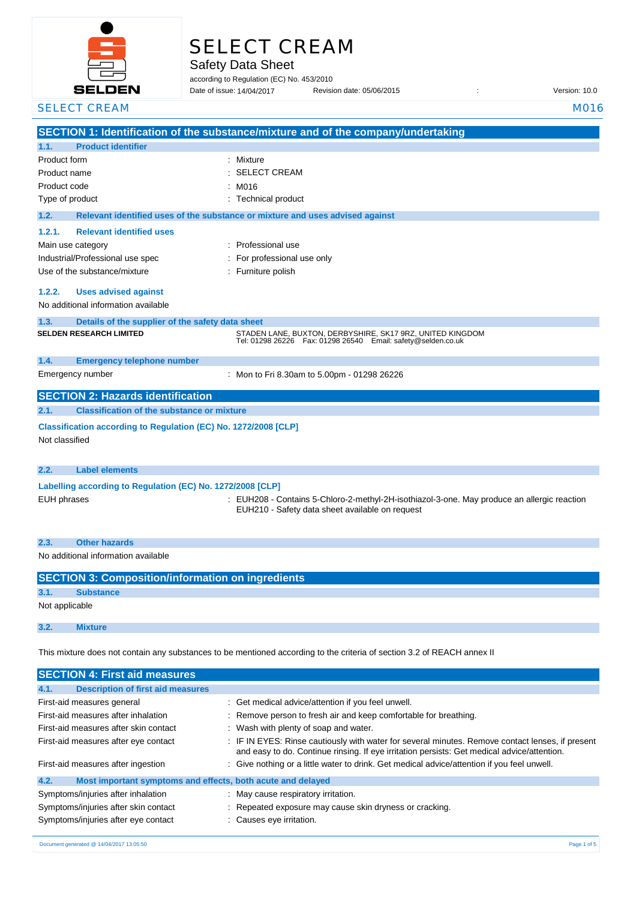

# SELECT CREAM

Safety Data Sheet

according to Regulation (EC) No. 453/2010

Date of issue: Revision date: 05/06/2015 : Version: 10.0 14/04/2017

**SECTION 1: Identification of the substance/mixture and of the company/undertaking 1.1. Product identifier** Product form : Nixture : Mixture Product name : Product code : Type of product Type of product in the contract of the contract of the Technical product **1.2. Relevant identified uses of the substance or mixture and uses advised against 1.2.1. Relevant identified uses**  Main use category **intervalled** and the category of the category of the category of the category of the category Industrial/Professional use spec : For professional use only Use of the substance/mixture in the substance in the set of the substance in the set of the substance in the s **1.2.2. Uses advised against** No additional information available **1.3. Details of the supplier of the safety data sheet 1.4. Emergency telephone number** Emergency number : **SECTION 2: Hazards identification 2.1. Classification of the substance or mixture Classification according to Regulation (EC) No. 1272/2008 [CLP]** Not classified **2.2. Label elements Labelling according to Regulation (EC) No. 1272/2008 [CLP]** EUH phrases : EUH208 - Contains 5-Chloro-2-methyl-2H-isothiazol-3-one. May produce an allergic reaction EUH210 - Safety data sheet available on request **2.3. Other hazards** No additional information available **SECTION 3: Composition/information on ingredients 3.1. Substance** Not applicable SELECT CREAM MOTOR CONTROL CONTROL CONTROL CONTROL CONTROL CONTROL CONTROL CONTROL CONTROL CONTROL CONTROL CONTROL CONTROL CONTROL CONTROL CONTROL CONTROL CONTROL CONTROL CONTROL CONTROL CONTROL CONTROL CONTROL CONTROL CON SELECT CREAM : M016 **SELDEN RESEARCH LIMITED** STADEN LANE, BUXTON, DERBYSHIRE, SK17 9RZ, UNITED KINGDOM Tel: 01298 26226 Fax: 01298 26540 Email: safety@selden.co.uk Mon to Fri 8.30am to 5.00pm - 01298 26226

This mixture does not contain any substances to be mentioned according to the criteria of section 3.2 of REACH annex II

| <b>SECTION 4: First aid measures</b>                                |                                                                                                                                                                                                 |
|---------------------------------------------------------------------|-------------------------------------------------------------------------------------------------------------------------------------------------------------------------------------------------|
| 4.1.<br><b>Description of first aid measures</b>                    |                                                                                                                                                                                                 |
| First-aid measures general                                          | : Get medical advice/attention if you feel unwell.                                                                                                                                              |
| First-aid measures after inhalation                                 | : Remove person to fresh air and keep comfortable for breathing.                                                                                                                                |
| First-aid measures after skin contact                               | : Wash with plenty of soap and water.                                                                                                                                                           |
| First-aid measures after eye contact                                | : IF IN EYES: Rinse cautiously with water for several minutes. Remove contact lenses, if present<br>and easy to do. Continue rinsing. If eye irritation persists: Get medical advice/attention. |
| First-aid measures after ingestion                                  | : Give nothing or a little water to drink. Get medical advice/attention if you feel unwell.                                                                                                     |
| 4.2.<br>Most important symptoms and effects, both acute and delayed |                                                                                                                                                                                                 |
| Symptoms/injuries after inhalation                                  | : May cause respiratory irritation.                                                                                                                                                             |
| Symptoms/injuries after skin contact                                | : Repeated exposure may cause skin dryness or cracking.                                                                                                                                         |
| Symptoms/injuries after eye contact                                 | : Causes eye irritation.                                                                                                                                                                        |

**3.2. Mixture**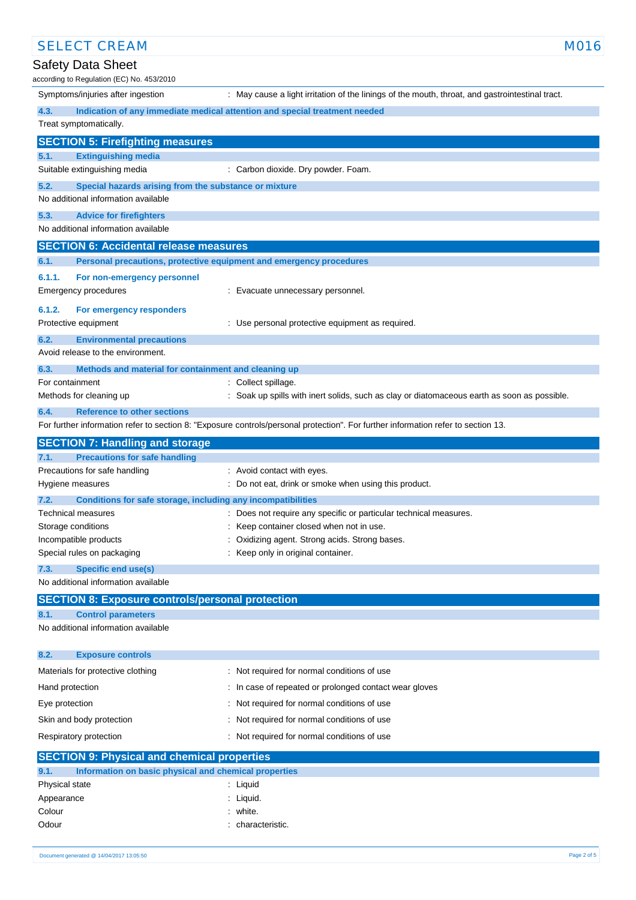| <b>SELECT CREAM</b>                                                                                  | M016                                                                                                                              |
|------------------------------------------------------------------------------------------------------|-----------------------------------------------------------------------------------------------------------------------------------|
| Safety Data Sheet<br>according to Regulation (EC) No. 453/2010                                       |                                                                                                                                   |
| Symptoms/injuries after ingestion                                                                    | : May cause a light irritation of the linings of the mouth, throat, and gastrointestinal tract.                                   |
| 4.3.                                                                                                 | Indication of any immediate medical attention and special treatment needed                                                        |
| Treat symptomatically.                                                                               |                                                                                                                                   |
| <b>SECTION 5: Firefighting measures</b>                                                              |                                                                                                                                   |
| <b>Extinguishing media</b><br>5.1.                                                                   |                                                                                                                                   |
| Suitable extinguishing media                                                                         | : Carbon dioxide. Dry powder. Foam.                                                                                               |
| 5.2.<br>Special hazards arising from the substance or mixture<br>No additional information available |                                                                                                                                   |
| 5.3.<br><b>Advice for firefighters</b>                                                               |                                                                                                                                   |
| No additional information available                                                                  |                                                                                                                                   |
| <b>SECTION 6: Accidental release measures</b>                                                        |                                                                                                                                   |
| 6.1.<br>Personal precautions, protective equipment and emergency procedures                          |                                                                                                                                   |
| 6.1.1.<br>For non-emergency personnel<br>Emergency procedures                                        | : Evacuate unnecessary personnel.                                                                                                 |
| 6.1.2.<br>For emergency responders                                                                   |                                                                                                                                   |
| Protective equipment                                                                                 | : Use personal protective equipment as required.                                                                                  |
| 6.2.<br><b>Environmental precautions</b>                                                             |                                                                                                                                   |
| Avoid release to the environment.                                                                    |                                                                                                                                   |
| 6.3.<br>Methods and material for containment and cleaning up                                         |                                                                                                                                   |
| For containment                                                                                      | : Collect spillage.                                                                                                               |
| Methods for cleaning up                                                                              | : Soak up spills with inert solids, such as clay or diatomaceous earth as soon as possible.                                       |
| 6.4.<br><b>Reference to other sections</b>                                                           | For further information refer to section 8: "Exposure controls/personal protection". For further information refer to section 13. |
|                                                                                                      |                                                                                                                                   |
| <b>SECTION 7: Handling and storage</b><br><b>Precautions for safe handling</b><br>7.1.               |                                                                                                                                   |
| Precautions for safe handling                                                                        | : Avoid contact with eyes.                                                                                                        |
| Hygiene measures                                                                                     | : Do not eat, drink or smoke when using this product.                                                                             |
| 7.2.<br>Conditions for safe storage, including any incompatibilities                                 |                                                                                                                                   |
| <b>Technical measures</b>                                                                            | : Does not require any specific or particular technical measures.                                                                 |
| Storage conditions                                                                                   | : Keep container closed when not in use.                                                                                          |
| Incompatible products                                                                                | Oxidizing agent. Strong acids. Strong bases.                                                                                      |
| Special rules on packaging                                                                           | Keep only in original container.                                                                                                  |
| 7.3.<br><b>Specific end use(s)</b><br>No additional information available                            |                                                                                                                                   |
|                                                                                                      |                                                                                                                                   |
| <b>SECTION 8: Exposure controls/personal protection</b><br><b>Control parameters</b><br>8.1.         |                                                                                                                                   |
| No additional information available                                                                  |                                                                                                                                   |
|                                                                                                      |                                                                                                                                   |
| 8.2.<br><b>Exposure controls</b>                                                                     |                                                                                                                                   |
| Materials for protective clothing                                                                    | : Not required for normal conditions of use                                                                                       |
| Hand protection                                                                                      | : In case of repeated or prolonged contact wear gloves                                                                            |
| Eye protection                                                                                       | Not required for normal conditions of use                                                                                         |
| Skin and body protection                                                                             | Not required for normal conditions of use                                                                                         |
| Respiratory protection                                                                               | Not required for normal conditions of use                                                                                         |
| <b>SECTION 9: Physical and chemical properties</b>                                                   |                                                                                                                                   |
| 9.1.<br>Information on basic physical and chemical properties                                        |                                                                                                                                   |
| Physical state                                                                                       | : Liquid                                                                                                                          |
| Appearance                                                                                           | : Liquid.                                                                                                                         |
| Colour                                                                                               | white.                                                                                                                            |
|                                                                                                      | characteristic.                                                                                                                   |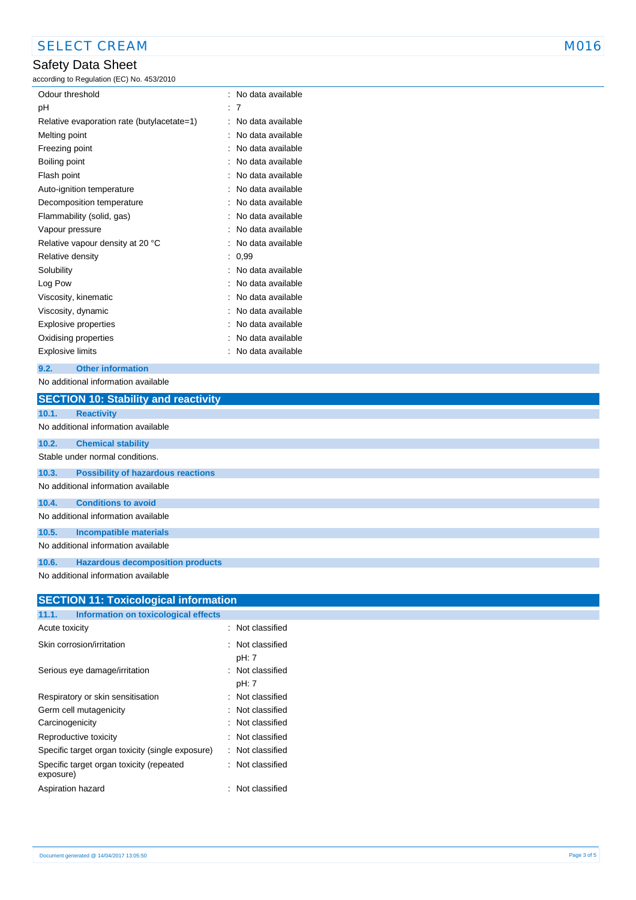# Safety Data Sheet

according to Regulation (EC) No. 453/2010

| Odour threshold                            |   | No data available |
|--------------------------------------------|---|-------------------|
| рH                                         | t | 7                 |
| Relative evaporation rate (butylacetate=1) | İ | No data available |
| Melting point                              | İ | No data available |
| Freezing point                             | ٠ | No data available |
| Boiling point                              |   | No data available |
| Flash point                                |   | No data available |
| Auto-ignition temperature                  |   | No data available |
| Decomposition temperature                  |   | No data available |
| Flammability (solid, gas)                  |   | No data available |
| Vapour pressure                            |   | No data available |
| Relative vapour density at 20 °C           | ٠ | No data available |
| Relative density                           | İ | 0,99              |
| Solubility                                 |   | No data available |
| Log Pow                                    |   | No data available |
| Viscosity, kinematic                       |   | No data available |
| Viscosity, dynamic                         |   | No data available |
| <b>Explosive properties</b>                |   | No data available |
| Oxidising properties                       |   | No data available |
| Explosive limits                           |   | No data available |

### **9.2. Other information**

No additional information available

|       | <b>SECTION 10: Stability and reactivity</b> |
|-------|---------------------------------------------|
| 10.1. | <b>Reactivity</b>                           |
|       | No additional information available         |
| 10.2. | <b>Chemical stability</b>                   |
|       | Stable under normal conditions.             |
| 10.3. | <b>Possibility of hazardous reactions</b>   |
|       | No additional information available         |
| 10.4. | <b>Conditions to avoid</b>                  |
|       | No additional information available         |
| 10.5. | <b>Incompatible materials</b>               |
|       | No additional information available         |
| 10.6. | <b>Hazardous decomposition products</b>     |
|       | No additional information available         |

| <b>SECTION 11: Toxicological information</b>          |  |                           |  |  |  |
|-------------------------------------------------------|--|---------------------------|--|--|--|
| Information on toxicological effects<br>11.1.         |  |                           |  |  |  |
| Acute toxicity                                        |  | Not classified            |  |  |  |
| Skin corrosion/irritation                             |  | : Not classified<br>pH: 7 |  |  |  |
| Serious eye damage/irritation                         |  | : Not classified<br>pH: 7 |  |  |  |
| Respiratory or skin sensitisation                     |  | Not classified            |  |  |  |
| Germ cell mutagenicity                                |  | Not classified            |  |  |  |
| Carcinogenicity                                       |  | Not classified            |  |  |  |
| Reproductive toxicity                                 |  | : Not classified          |  |  |  |
| Specific target organ toxicity (single exposure)      |  | Not classified            |  |  |  |
| Specific target organ toxicity (repeated<br>exposure) |  | : Not classified          |  |  |  |
| Aspiration hazard                                     |  | : Not classified          |  |  |  |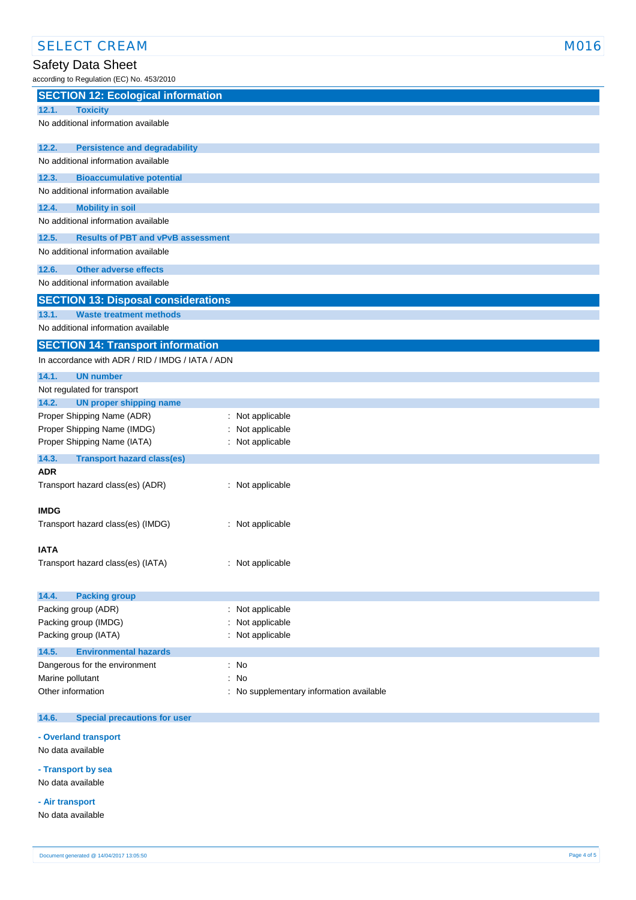# Safety Data Sheet

according to Regulation (EC) No. 453/2010

| $10001$ and $1000$ and $1001$ $(20)$ $100$ . $1000$ $E_0$                      |                                          |
|--------------------------------------------------------------------------------|------------------------------------------|
| <b>SECTION 12: Ecological information</b>                                      |                                          |
| <b>Toxicity</b><br>12.1.                                                       |                                          |
| No additional information available                                            |                                          |
|                                                                                |                                          |
| 12.2.<br><b>Persistence and degradability</b>                                  |                                          |
| No additional information available                                            |                                          |
| 12.3.<br><b>Bioaccumulative potential</b>                                      |                                          |
| No additional information available                                            |                                          |
| 12.4.                                                                          |                                          |
| <b>Mobility in soil</b><br>No additional information available                 |                                          |
|                                                                                |                                          |
| 12.5.<br><b>Results of PBT and vPvB assessment</b>                             |                                          |
| No additional information available                                            |                                          |
| 12.6.<br><b>Other adverse effects</b>                                          |                                          |
| No additional information available                                            |                                          |
| <b>SECTION 13: Disposal considerations</b>                                     |                                          |
|                                                                                |                                          |
| <b>Waste treatment methods</b><br>13.1.<br>No additional information available |                                          |
|                                                                                |                                          |
| <b>SECTION 14: Transport information</b>                                       |                                          |
| In accordance with ADR / RID / IMDG / IATA / ADN                               |                                          |
| 14.1.<br><b>UN number</b>                                                      |                                          |
| Not regulated for transport                                                    |                                          |
| <b>UN proper shipping name</b><br>14.2.                                        |                                          |
| Proper Shipping Name (ADR)                                                     | : Not applicable                         |
| Proper Shipping Name (IMDG)                                                    | Not applicable                           |
| Proper Shipping Name (IATA)                                                    | : Not applicable                         |
| 14.3.<br><b>Transport hazard class(es)</b>                                     |                                          |
| <b>ADR</b>                                                                     |                                          |
| Transport hazard class(es) (ADR)                                               | : Not applicable                         |
|                                                                                |                                          |
| <b>IMDG</b>                                                                    |                                          |
| Transport hazard class(es) (IMDG)                                              | : Not applicable                         |
|                                                                                |                                          |
| IATA                                                                           |                                          |
| Transport hazard class(es) (IATA)                                              | : Not applicable                         |
|                                                                                |                                          |
|                                                                                |                                          |
| 14.4.<br><b>Packing group</b>                                                  |                                          |
| Packing group (ADR)                                                            | : Not applicable                         |
| Packing group (IMDG)                                                           | Not applicable                           |
| Packing group (IATA)                                                           | Not applicable                           |
| <b>Environmental hazards</b><br>14.5.                                          |                                          |
| Dangerous for the environment                                                  | : No                                     |
| Marine pollutant                                                               | : No                                     |
| Other information                                                              | : No supplementary information available |
|                                                                                |                                          |
| 14.6.<br><b>Special precautions for user</b>                                   |                                          |
|                                                                                |                                          |

### **- Overland transport**

No data available

## **- Transport by sea** No data available

**- Air transport**

No data available